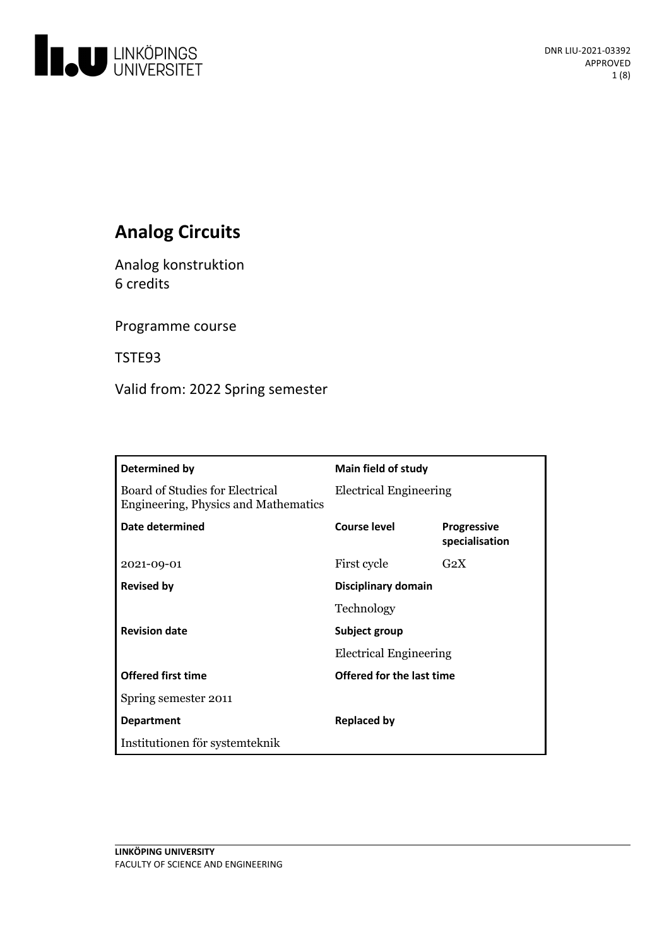

# **Analog Circuits**

Analog konstruktion 6 credits

Programme course

TSTE93

Valid from: 2022 Spring semester

| Determined by                                                           | <b>Main field of study</b>    |                                      |
|-------------------------------------------------------------------------|-------------------------------|--------------------------------------|
| Board of Studies for Electrical<br>Engineering, Physics and Mathematics | <b>Electrical Engineering</b> |                                      |
| Date determined                                                         | Course level                  | <b>Progressive</b><br>specialisation |
| 2021-09-01                                                              | First cycle                   | G <sub>2</sub> X                     |
| <b>Revised by</b>                                                       | Disciplinary domain           |                                      |
|                                                                         | Technology                    |                                      |
| <b>Revision date</b>                                                    | Subject group                 |                                      |
|                                                                         | <b>Electrical Engineering</b> |                                      |
| <b>Offered first time</b>                                               | Offered for the last time     |                                      |
| Spring semester 2011                                                    |                               |                                      |
| <b>Department</b>                                                       | <b>Replaced by</b>            |                                      |
| Institutionen för systemteknik                                          |                               |                                      |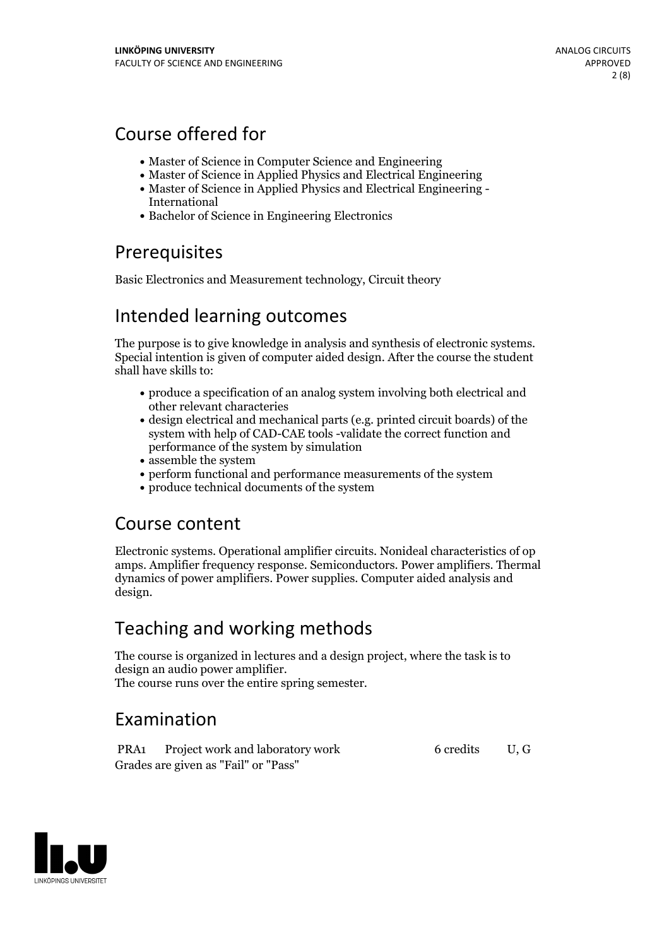# Course offered for

- Master of Science in Computer Science and Engineering
- Master of Science in Applied Physics and Electrical Engineering
- Master of Science in Applied Physics and Electrical Engineering International
- Bachelor of Science in Engineering Electronics

## Prerequisites

Basic Electronics and Measurement technology, Circuit theory

## Intended learning outcomes

The purpose is to give knowledge in analysis and synthesis of electronic systems. Special intention is given of computer aided design. After the course the student shall have skills to:

- produce a specification of an analog system involving both electrical and other relevant characteries
- design electrical and mechanical parts (e.g. printed circuit boards) of the system with help of CAD-CAE tools -validate the correct function and performance of the system by simulation
- assemble the system
- perform functional and performance measurements of the system
- produce technical documents of the system

## Course content

Electronic systems. Operational amplifier circuits. Nonideal characteristics of op amps. Amplifier frequency response. Semiconductors. Power amplifiers. Thermal dynamics of power amplifiers. Power supplies. Computer aided analysis and design.

## Teaching and working methods

The course is organized in lectures and a design project, where the task is to design an audio power amplifier. The course runs over the entire spring semester.

# Examination

PRA1 Project work and laboratory work 6 credits U, G Grades are given as"Fail" or "Pass"

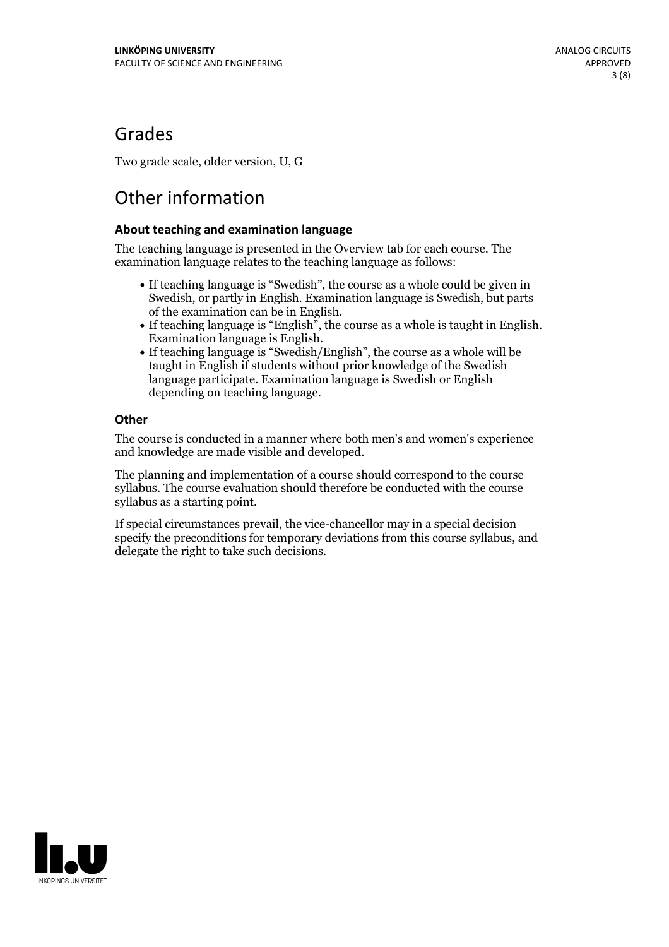## Grades

Two grade scale, older version, U, G

# Other information

### **About teaching and examination language**

The teaching language is presented in the Overview tab for each course. The examination language relates to the teaching language as follows:

- If teaching language is "Swedish", the course as a whole could be given in Swedish, or partly in English. Examination language is Swedish, but parts
- of the examination can be in English. If teaching language is "English", the course as <sup>a</sup> whole is taught in English. Examination language is English. If teaching language is "Swedish/English", the course as <sup>a</sup> whole will be
- taught in English if students without prior knowledge of the Swedish language participate. Examination language is Swedish or English depending on teaching language.

### **Other**

The course is conducted in a manner where both men's and women's experience and knowledge are made visible and developed.

The planning and implementation of a course should correspond to the course syllabus. The course evaluation should therefore be conducted with the course syllabus as a starting point.

If special circumstances prevail, the vice-chancellor may in a special decision specify the preconditions for temporary deviations from this course syllabus, and delegate the right to take such decisions.

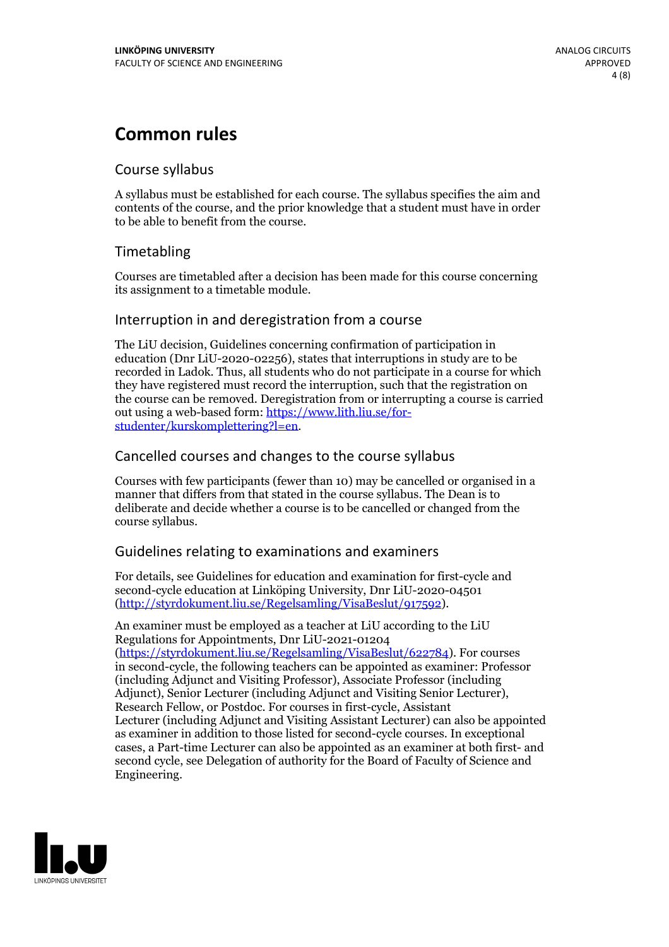## **Common rules**

## Course syllabus

A syllabus must be established for each course. The syllabus specifies the aim and contents of the course, and the prior knowledge that a student must have in order to be able to benefit from the course.

## Timetabling

Courses are timetabled after a decision has been made for this course concerning its assignment to a timetable module.

### Interruption in and deregistration from a course

The LiU decision, Guidelines concerning confirmation of participation in education (Dnr LiU-2020-02256), states that interruptions in study are to be recorded in Ladok. Thus, all students who do not participate in a course for which they have registered must record the interruption, such that the registration on the course can be removed. Deregistration from or interrupting a course is carried out using <sup>a</sup> web-based form: https://www.lith.liu.se/for- [studenter/kurskomplettering?l=en.](https://www.lith.liu.se/for-studenter/kurskomplettering?l=en)

## Cancelled courses and changes to the course syllabus

Courses with few participants (fewer than 10) may be cancelled or organised in a manner that differs from that stated in the course syllabus. The Dean is to deliberate and decide whether a course is to be cancelled or changed from the course syllabus.

## Guidelines relating to examinations and examiners

For details, see Guidelines for education and examination for first-cycle and second-cycle education at Linköping University, Dnr LiU-2020-04501 [\(http://styrdokument.liu.se/Regelsamling/VisaBeslut/917592\)](http://styrdokument.liu.se/Regelsamling/VisaBeslut/917592).

An examiner must be employed as a teacher at LiU according to the LiU Regulations for Appointments, Dnr LiU-2021-01204 [\(https://styrdokument.liu.se/Regelsamling/VisaBeslut/622784](https://styrdokument.liu.se/Regelsamling/VisaBeslut/622784)). For courses in second-cycle, the following teachers can be appointed as examiner: Professor (including Adjunct and Visiting Professor), Associate Professor (including Adjunct), Senior Lecturer (including Adjunct and Visiting Senior Lecturer), Research Fellow, or Postdoc. For courses in first-cycle, Assistant Lecturer (including Adjunct and Visiting Assistant Lecturer) can also be appointed as examiner in addition to those listed for second-cycle courses. In exceptional cases, a Part-time Lecturer can also be appointed as an examiner at both first- and second cycle, see Delegation of authority for the Board of Faculty of Science and Engineering.

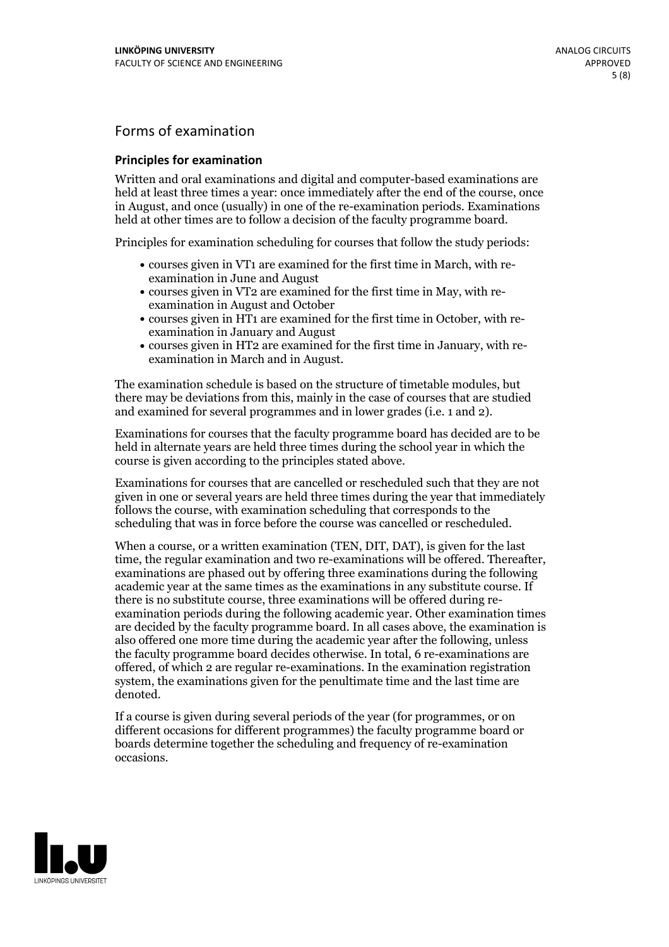## Forms of examination

#### **Principles for examination**

Written and oral examinations and digital and computer-based examinations are held at least three times a year: once immediately after the end of the course, once in August, and once (usually) in one of the re-examination periods. Examinations held at other times are to follow a decision of the faculty programme board.

Principles for examination scheduling for courses that follow the study periods:

- courses given in VT1 are examined for the first time in March, with re-examination in June and August
- courses given in VT2 are examined for the first time in May, with re-examination in August and October
- courses given in HT1 are examined for the first time in October, with re-examination in January and August
- courses given in HT2 are examined for the first time in January, with re-examination in March and in August.

The examination schedule is based on the structure of timetable modules, but there may be deviations from this, mainly in the case of courses that are studied and examined for several programmes and in lower grades (i.e. 1 and 2).

Examinations for courses that the faculty programme board has decided are to be held in alternate years are held three times during the school year in which the course is given according to the principles stated above.

Examinations for courses that are cancelled orrescheduled such that they are not given in one or several years are held three times during the year that immediately follows the course, with examination scheduling that corresponds to the scheduling that was in force before the course was cancelled or rescheduled.

When a course, or a written examination (TEN, DIT, DAT), is given for the last time, the regular examination and two re-examinations will be offered. Thereafter, examinations are phased out by offering three examinations during the following academic year at the same times as the examinations in any substitute course. If there is no substitute course, three examinations will be offered during re- examination periods during the following academic year. Other examination times are decided by the faculty programme board. In all cases above, the examination is also offered one more time during the academic year after the following, unless the faculty programme board decides otherwise. In total, 6 re-examinations are offered, of which 2 are regular re-examinations. In the examination registration system, the examinations given for the penultimate time and the last time are denoted.

If a course is given during several periods of the year (for programmes, or on different occasions for different programmes) the faculty programme board or boards determine together the scheduling and frequency of re-examination occasions.

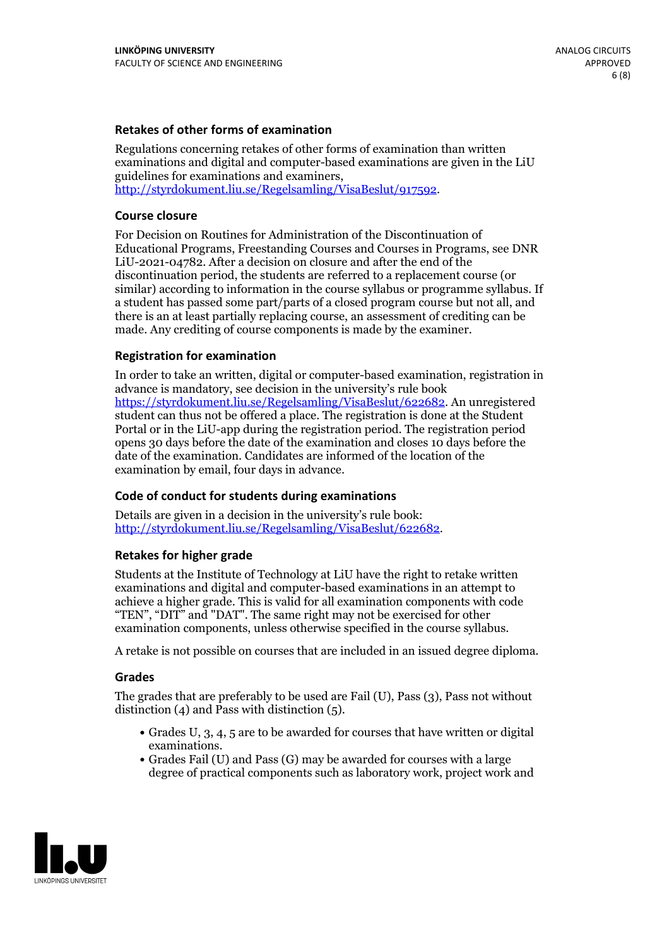#### **Retakes of other forms of examination**

Regulations concerning retakes of other forms of examination than written examinations and digital and computer-based examinations are given in the LiU guidelines for examinations and examiners, [http://styrdokument.liu.se/Regelsamling/VisaBeslut/917592.](http://styrdokument.liu.se/Regelsamling/VisaBeslut/917592)

#### **Course closure**

For Decision on Routines for Administration of the Discontinuation of Educational Programs, Freestanding Courses and Courses in Programs, see DNR LiU-2021-04782. After a decision on closure and after the end of the discontinuation period, the students are referred to a replacement course (or similar) according to information in the course syllabus or programme syllabus. If a student has passed some part/parts of a closed program course but not all, and there is an at least partially replacing course, an assessment of crediting can be made. Any crediting of course components is made by the examiner.

### **Registration for examination**

In order to take an written, digital or computer-based examination, registration in advance is mandatory, see decision in the university's rule book [https://styrdokument.liu.se/Regelsamling/VisaBeslut/622682.](https://styrdokument.liu.se/Regelsamling/VisaBeslut/622682) An unregistered student can thus not be offered a place. The registration is done at the Student Portal or in the LiU-app during the registration period. The registration period opens 30 days before the date of the examination and closes 10 days before the date of the examination. Candidates are informed of the location of the examination by email, four days in advance.

### **Code of conduct for students during examinations**

Details are given in a decision in the university's rule book: <http://styrdokument.liu.se/Regelsamling/VisaBeslut/622682>.

#### **Retakes for higher grade**

Students at the Institute of Technology at LiU have the right to retake written examinations and digital and computer-based examinations in an attempt to achieve a higher grade. This is valid for all examination components with code "TEN", "DIT" and "DAT". The same right may not be exercised for other examination components, unless otherwise specified in the course syllabus.

A retake is not possible on courses that are included in an issued degree diploma.

#### **Grades**

The grades that are preferably to be used are Fail (U), Pass (3), Pass not without distinction  $(4)$  and Pass with distinction  $(5)$ .

- Grades U, 3, 4, 5 are to be awarded for courses that have written or digital examinations.<br>• Grades Fail (U) and Pass (G) may be awarded for courses with a large
- degree of practical components such as laboratory work, project work and

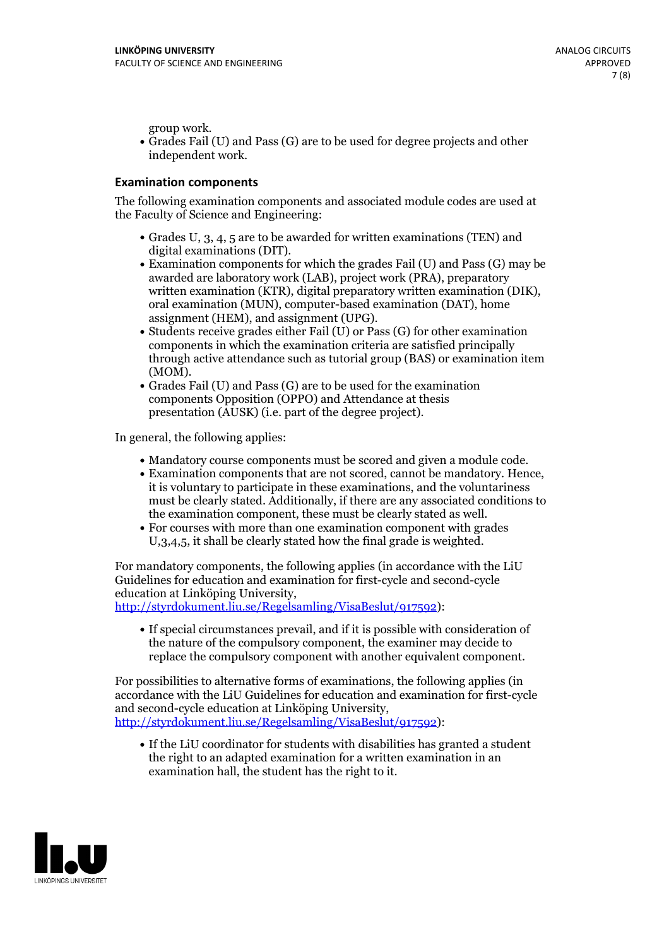group work.<br>• Grades Fail (U) and Pass (G) are to be used for degree projects and other independent work.

### **Examination components**

The following examination components and associated module codes are used at the Faculty of Science and Engineering:

- Grades U, 3, 4, 5 are to be awarded for written examinations (TEN) and
- digital examinations (DIT).<br>• Examination components for which the grades Fail (U) and Pass (G) may be awarded are laboratory work (LAB), project work (PRA), preparatory written examination (KTR), digital preparatory written examination (DIK), oral examination (MUN), computer-based examination (DAT), home
- assignment (HEM), and assignment (UPG).<br>• Students receive grades either Fail (U) or Pass (G) for other examination components in which the examination criteria are satisfied principally through active attendance such as tutorial group (BAS) or examination item
- (MOM).<br>• Grades Fail (U) and Pass (G) are to be used for the examination components Opposition (OPPO) and Attendance at thesis presentation (AUSK) (i.e. part of the degree project).

In general, the following applies:

- 
- Mandatory course components must be scored and given <sup>a</sup> module code. Examination components that are not scored, cannot be mandatory. Hence, it is voluntary to participate in these examinations, and the voluntariness must be clearly stated. Additionally, if there are any associated conditions to
- the examination component, these must be clearly stated as well.<br>• For courses with more than one examination component with grades U,3,4,5, it shall be clearly stated how the final grade is weighted.

For mandatory components, the following applies (in accordance with the LiU Guidelines for education and examination for first-cycle and second-cycle education at Linköping University,<br>[http://styrdokument.liu.se/Regelsamling/VisaBeslut/917592\)](http://styrdokument.liu.se/Regelsamling/VisaBeslut/917592):

If special circumstances prevail, and if it is possible with consideration of the nature of the compulsory component, the examiner may decide to replace the compulsory component with another equivalent component.

For possibilities to alternative forms of examinations, the following applies (in accordance with the LiU Guidelines for education and examination for first-cycle [http://styrdokument.liu.se/Regelsamling/VisaBeslut/917592\)](http://styrdokument.liu.se/Regelsamling/VisaBeslut/917592):

If the LiU coordinator for students with disabilities has granted a student the right to an adapted examination for a written examination in an examination hall, the student has the right to it.